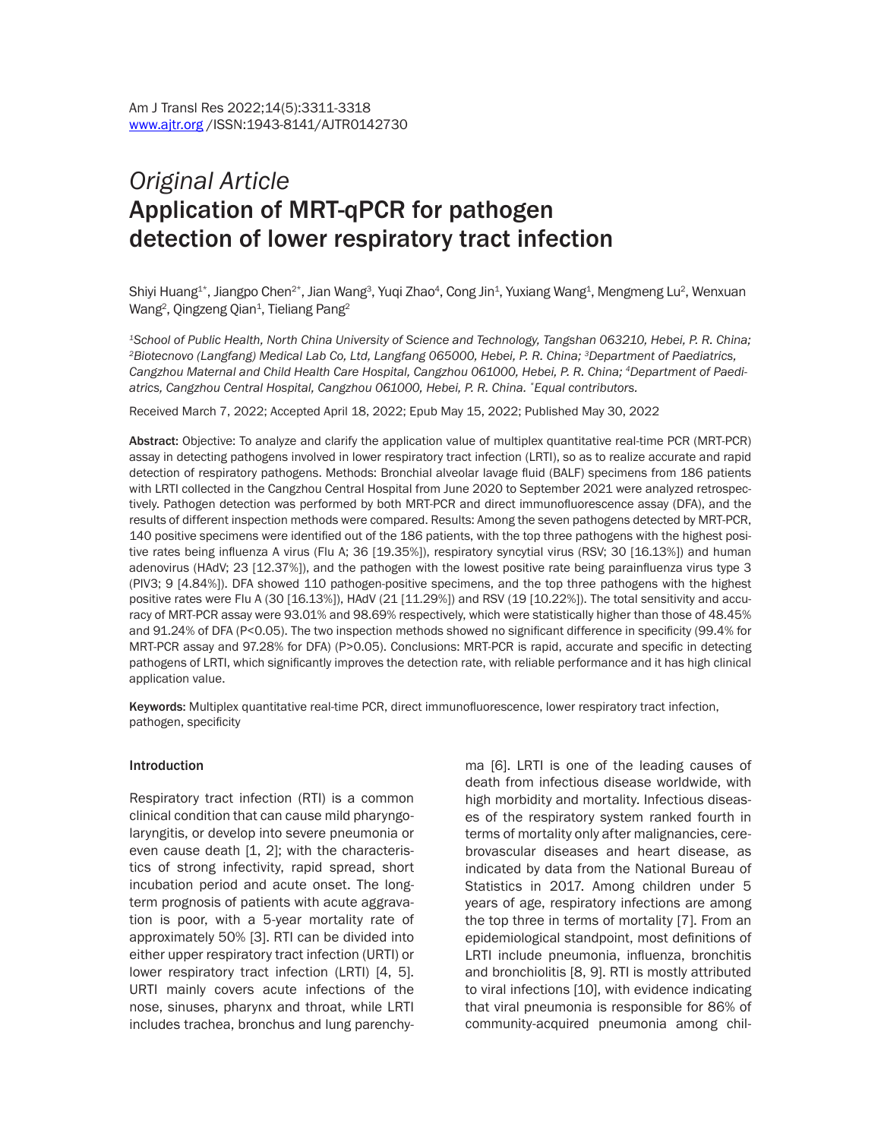# *Original Article* Application of MRT-qPCR for pathogen detection of lower respiratory tract infection

Shiyi Huang $^{\text{1}*}$ , Jiangpo Chen $^{2*}$ , Jian Wang $^3$ , Yuqi Zhao $^4$ , Cong Jin $^4$ , Yuxiang Wang $^4$ , Mengmeng Lu $^2$ , Wenxuan Wang $^2$ , Qingzeng Qian $^1$ , Tieliang Pang $^2$ 

*1School of Public Health, North China University of Science and Technology, Tangshan 063210, Hebei, P. R. China; 2Biotecnovo (Langfang) Medical Lab Co, Ltd, Langfang 065000, Hebei, P. R. China; 3Department of Paediatrics, Cangzhou Maternal and Child Health Care Hospital, Cangzhou 061000, Hebei, P. R. China; 4Department of Paediatrics, Cangzhou Central Hospital, Cangzhou 061000, Hebei, P. R. China. \*Equal contributors.*

Received March 7, 2022; Accepted April 18, 2022; Epub May 15, 2022; Published May 30, 2022

Abstract: Objective: To analyze and clarify the application value of multiplex quantitative real-time PCR (MRT-PCR) assay in detecting pathogens involved in lower respiratory tract infection (LRTI), so as to realize accurate and rapid detection of respiratory pathogens. Methods: Bronchial alveolar lavage fluid (BALF) specimens from 186 patients with LRTI collected in the Cangzhou Central Hospital from June 2020 to September 2021 were analyzed retrospectively. Pathogen detection was performed by both MRT-PCR and direct immunofluorescence assay (DFA), and the results of different inspection methods were compared. Results: Among the seven pathogens detected by MRT-PCR, 140 positive specimens were identified out of the 186 patients, with the top three pathogens with the highest positive rates being influenza A virus (Flu A; 36 [19.35%]), respiratory syncytial virus (RSV; 30 [16.13%]) and human adenovirus (HAdV; 23 [12.37%]), and the pathogen with the lowest positive rate being parainfluenza virus type 3 (PIV3; 9 [4.84%]). DFA showed 110 pathogen-positive specimens, and the top three pathogens with the highest positive rates were Flu A (30 [16.13%]), HAdV (21 [11.29%]) and RSV (19 [10.22%]). The total sensitivity and accuracy of MRT-PCR assay were 93.01% and 98.69% respectively, which were statistically higher than those of 48.45% and 91.24% of DFA (P<0.05). The two inspection methods showed no significant difference in specificity (99.4% for MRT-PCR assay and 97.28% for DFA) (P>0.05). Conclusions: MRT-PCR is rapid, accurate and specific in detecting pathogens of LRTI, which significantly improves the detection rate, with reliable performance and it has high clinical application value.

Keywords: Multiplex quantitative real-time PCR, direct immunofluorescence, lower respiratory tract infection, pathogen, specificity

#### Introduction

Respiratory tract infection (RTI) is a common clinical condition that can cause mild pharyngolaryngitis, or develop into severe pneumonia or even cause death [1, 2]; with the characteristics of strong infectivity, rapid spread, short incubation period and acute onset. The longterm prognosis of patients with acute aggravation is poor, with a 5-year mortality rate of approximately 50% [3]. RTI can be divided into either upper respiratory tract infection (URTI) or lower respiratory tract infection (LRTI) [4, 5]. URTI mainly covers acute infections of the nose, sinuses, pharynx and throat, while LRTI includes trachea, bronchus and lung parenchyma [6]. LRTI is one of the leading causes of death from infectious disease worldwide, with high morbidity and mortality. Infectious diseases of the respiratory system ranked fourth in terms of mortality only after malignancies, cerebrovascular diseases and heart disease, as indicated by data from the National Bureau of Statistics in 2017. Among children under 5 years of age, respiratory infections are among the top three in terms of mortality [7]. From an epidemiological standpoint, most definitions of LRTI include pneumonia, influenza, bronchitis and bronchiolitis [8, 9]. RTI is mostly attributed to viral infections [10], with evidence indicating that viral pneumonia is responsible for 86% of community-acquired pneumonia among chil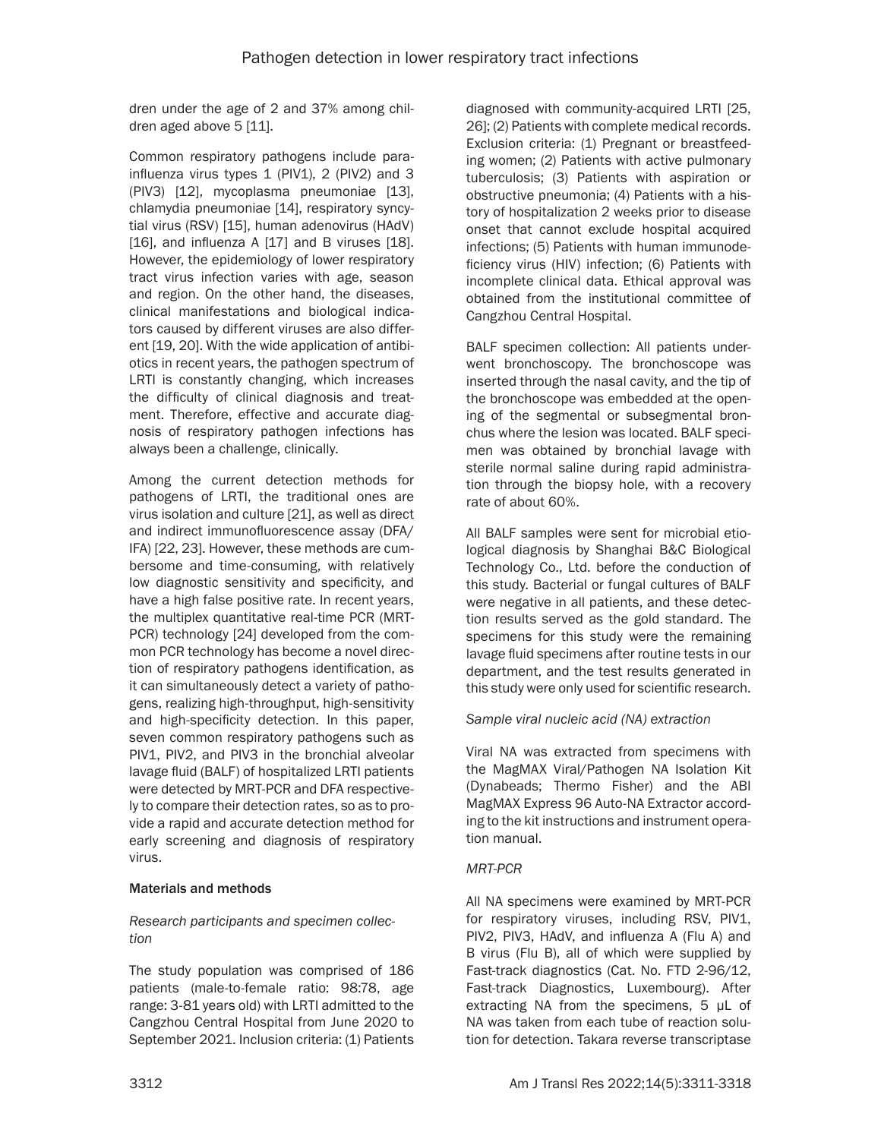dren under the age of 2 and 37% among children aged above 5 [11].

Common respiratory pathogens include parainfluenza virus types  $1$  (PIV1),  $2$  (PIV2) and  $3$ (PIV3) [12], mycoplasma pneumoniae [13], chlamydia pneumoniae [14], respiratory syncytial virus (RSV) [15], human adenovirus (HAdV) [16], and influenza A [17] and B viruses [18]. However, the epidemiology of lower respiratory tract virus infection varies with age, season and region. On the other hand, the diseases, clinical manifestations and biological indicators caused by different viruses are also different [19, 20]. With the wide application of antibiotics in recent years, the pathogen spectrum of LRTI is constantly changing, which increases the difficulty of clinical diagnosis and treatment. Therefore, effective and accurate diagnosis of respiratory pathogen infections has always been a challenge, clinically.

Among the current detection methods for pathogens of LRTI, the traditional ones are virus isolation and culture [21], as well as direct and indirect immunofluorescence assay (DFA/ IFA) [22, 23]. However, these methods are cumbersome and time-consuming, with relatively low diagnostic sensitivity and specificity, and have a high false positive rate. In recent years, the multiplex quantitative real-time PCR (MRT-PCR) technology [24] developed from the common PCR technology has become a novel direction of respiratory pathogens identification, as it can simultaneously detect a variety of pathogens, realizing high-throughput, high-sensitivity and high-specificity detection. In this paper, seven common respiratory pathogens such as PIV1, PIV2, and PIV3 in the bronchial alveolar lavage fluid (BALF) of hospitalized LRTI patients were detected by MRT-PCR and DFA respectively to compare their detection rates, so as to provide a rapid and accurate detection method for early screening and diagnosis of respiratory virus.

## Materials and methods

### *Research participants and specimen collection*

The study population was comprised of 186 patients (male-to-female ratio: 98:78, age range: 3-81 years old) with LRTI admitted to the Cangzhou Central Hospital from June 2020 to September 2021. Inclusion criteria: (1) Patients diagnosed with community-acquired LRTI [25, 26]; (2) Patients with complete medical records. Exclusion criteria: (1) Pregnant or breastfeeding women; (2) Patients with active pulmonary tuberculosis; (3) Patients with aspiration or obstructive pneumonia; (4) Patients with a history of hospitalization 2 weeks prior to disease onset that cannot exclude hospital acquired infections; (5) Patients with human immunodeficiency virus (HIV) infection; (6) Patients with incomplete clinical data. Ethical approval was obtained from the institutional committee of Cangzhou Central Hospital.

BALF specimen collection: All patients underwent bronchoscopy. The bronchoscope was inserted through the nasal cavity, and the tip of the bronchoscope was embedded at the opening of the segmental or subsegmental bronchus where the lesion was located. BALF specimen was obtained by bronchial lavage with sterile normal saline during rapid administration through the biopsy hole, with a recovery rate of about 60%.

All BALF samples were sent for microbial etiological diagnosis by Shanghai B&C Biological Technology Co., Ltd. before the conduction of this study. Bacterial or fungal cultures of BALF were negative in all patients, and these detection results served as the gold standard. The specimens for this study were the remaining lavage fluid specimens after routine tests in our department, and the test results generated in this study were only used for scientific research.

## *Sample viral nucleic acid (NA) extraction*

Viral NA was extracted from specimens with the MagMAX Viral/Pathogen NA Isolation Kit (Dynabeads; Thermo Fisher) and the ABI MagMAX Express 96 Auto-NA Extractor according to the kit instructions and instrument operation manual.

## *MRT-PCR*

All NA specimens were examined by MRT-PCR for respiratory viruses, including RSV, PIV1, PIV2, PIV3, HAdV, and influenza A (Flu A) and B virus (Flu B), all of which were supplied by Fast-track diagnostics (Cat. No. FTD 2-96/12, Fast-track Diagnostics, Luxembourg). After extracting NA from the specimens, 5 μL of NA was taken from each tube of reaction solution for detection. Takara reverse transcriptase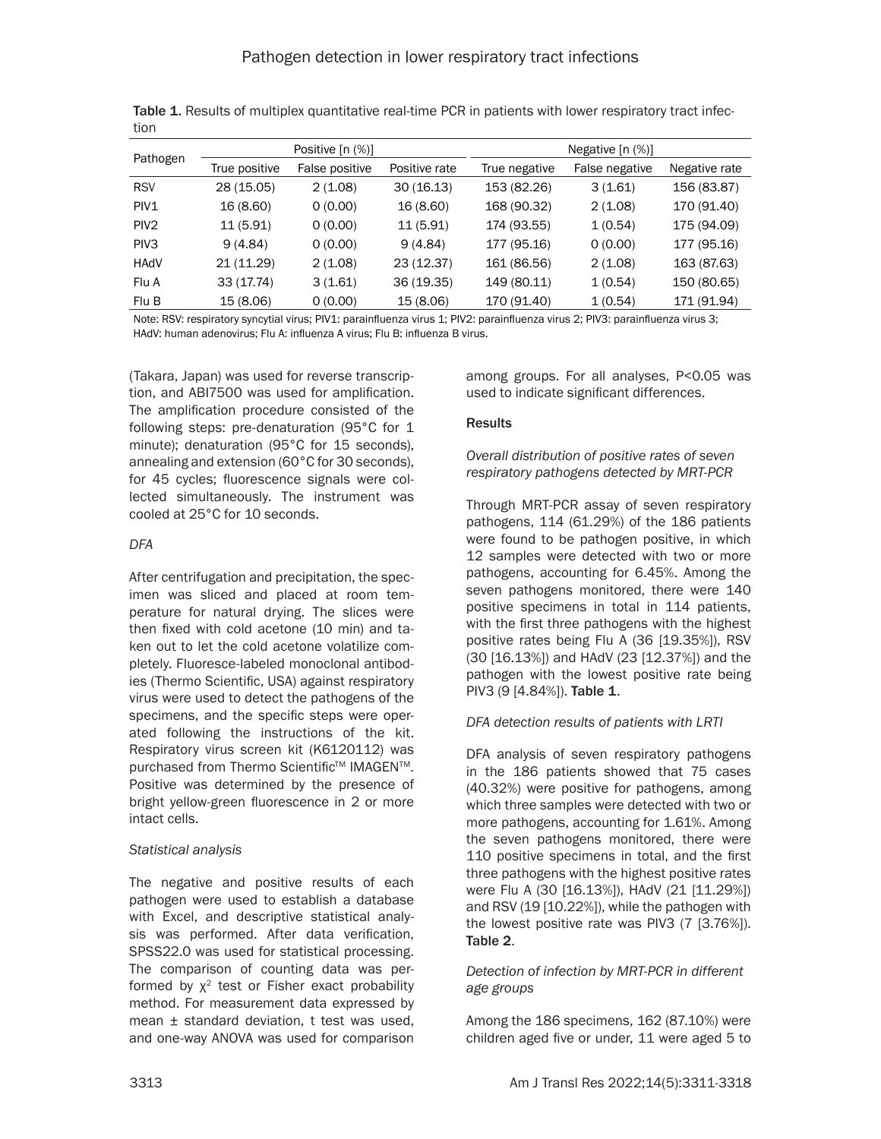|                  |               | Positive $[n (%)]$ |               | Negative $[n (%)]$ |                |               |
|------------------|---------------|--------------------|---------------|--------------------|----------------|---------------|
| Pathogen         | True positive | False positive     | Positive rate | True negative      | False negative | Negative rate |
| <b>RSV</b>       | 28 (15.05)    | 2(1.08)            | 30(16.13)     | 153 (82.26)        | 3(1.61)        | 156 (83.87)   |
| PIV <sub>1</sub> | 16 (8.60)     | 0(0.00)            | 16 (8.60)     | 168 (90.32)        | 2(1.08)        | 170 (91.40)   |
| PIV <sub>2</sub> | 11(5.91)      | 0(0.00)            | 11(5.91)      | 174 (93.55)        | 1(0.54)        | 175 (94.09)   |
| PIV <sub>3</sub> | 9(4.84)       | 0(0.00)            | 9(4.84)       | 177 (95.16)        | 0(0.00)        | 177 (95.16)   |
| <b>HAdV</b>      | 21 (11.29)    | 2(1.08)            | 23 (12.37)    | 161 (86.56)        | 2(1.08)        | 163 (87.63)   |
| Flu A            | 33(17.74)     | 3(1.61)            | 36 (19.35)    | 149 (80.11)        | 1(0.54)        | 150 (80.65)   |
| Flu B            | 15 (8.06)     | 0(0.00)            | 15 (8.06)     | 170 (91.40)        | 1(0.54)        | 171 (91.94)   |

Table 1. Results of multiplex quantitative real-time PCR in patients with lower respiratory tract infection

Note: RSV: respiratory syncytial virus; PIV1: parainfluenza virus 1; PIV2: parainfluenza virus 2; PIV3: parainfluenza virus 3; HAdV: human adenovirus; Flu A: influenza A virus; Flu B: influenza B virus.

(Takara, Japan) was used for reverse transcription, and ABI7500 was used for amplification. The amplification procedure consisted of the following steps: pre-denaturation (95°C for 1 minute); denaturation (95°C for 15 seconds), annealing and extension (60°C for 30 seconds), for 45 cycles; fluorescence signals were collected simultaneously. The instrument was cooled at 25°C for 10 seconds.

### *DFA*

After centrifugation and precipitation, the specimen was sliced and placed at room temperature for natural drying. The slices were then fixed with cold acetone (10 min) and taken out to let the cold acetone volatilize completely. Fluoresce-labeled monoclonal antibodies (Thermo Scientific, USA) against respiratory virus were used to detect the pathogens of the specimens, and the specific steps were operated following the instructions of the kit. Respiratory virus screen kit (K6120112) was purchased from Thermo Scientific™ IMAGEN™. Positive was determined by the presence of bright yellow-green fluorescence in 2 or more intact cells.

## *Statistical analysis*

The negative and positive results of each pathogen were used to establish a database with Excel, and descriptive statistical analysis was performed. After data verification, SPSS22.0 was used for statistical processing. The comparison of counting data was performed by  $\chi^2$  test or Fisher exact probability method. For measurement data expressed by mean ± standard deviation, t test was used, and one-way ANOVA was used for comparison among groups. For all analyses, P<0.05 was used to indicate significant differences.

### **Results**

#### *Overall distribution of positive rates of seven respiratory pathogens detected by MRT-PCR*

Through MRT-PCR assay of seven respiratory pathogens, 114 (61.29%) of the 186 patients were found to be pathogen positive, in which 12 samples were detected with two or more pathogens, accounting for 6.45%. Among the seven pathogens monitored, there were 140 positive specimens in total in 114 patients, with the first three pathogens with the highest positive rates being Flu A (36 [19.35%]), RSV (30 [16.13%]) and HAdV (23 [12.37%]) and the pathogen with the lowest positive rate being PIV3 (9 [4.84%]). Table 1.

## *DFA detection results of patients with LRTI*

DFA analysis of seven respiratory pathogens in the 186 patients showed that 75 cases (40.32%) were positive for pathogens, among which three samples were detected with two or more pathogens, accounting for 1.61%. Among the seven pathogens monitored, there were 110 positive specimens in total, and the first three pathogens with the highest positive rates were Flu A (30 [16.13%]), HAdV (21 [11.29%]) and RSV (19 [10.22%]), while the pathogen with the lowest positive rate was PIV3 (7 [3.76%]). Table 2.

### *Detection of infection by MRT-PCR in different age groups*

Among the 186 specimens, 162 (87.10%) were children aged five or under, 11 were aged 5 to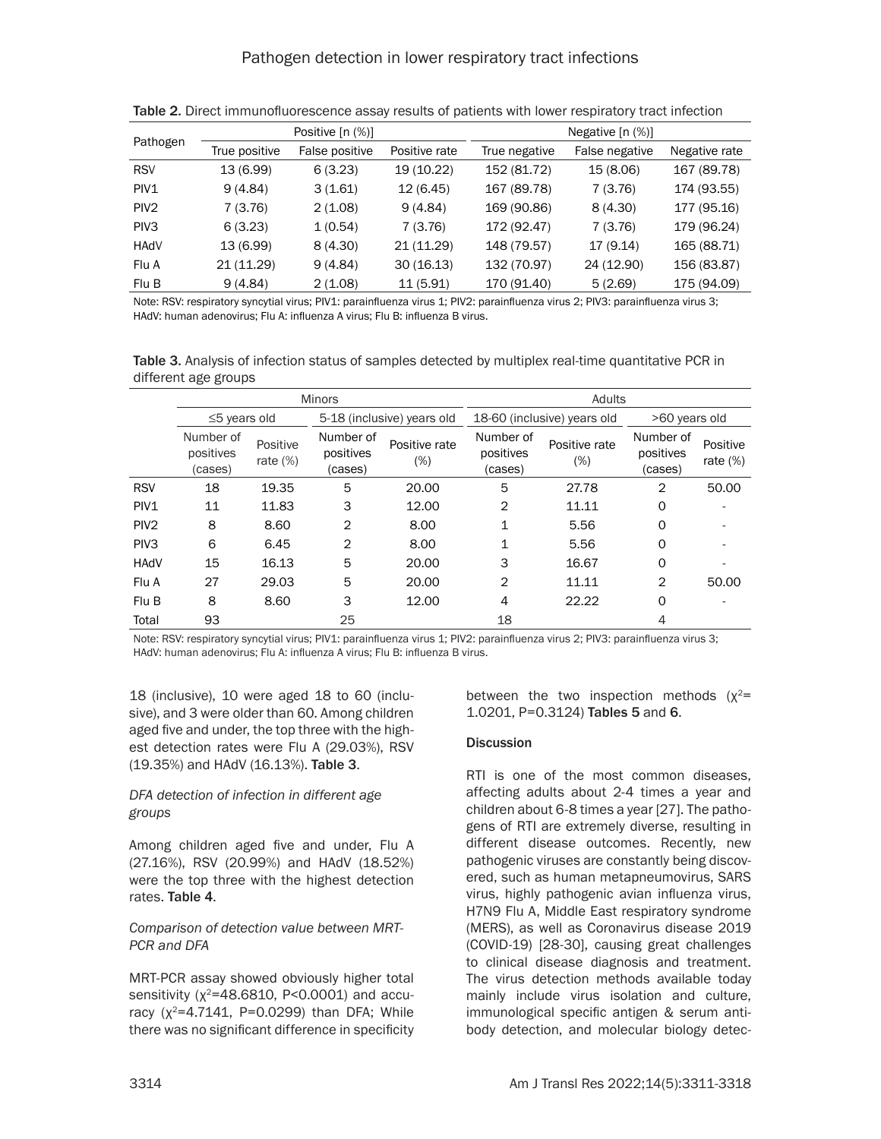|                  |               | Positive $[n (%)]$ |               |               | Negative $[n (%)]$ |               |
|------------------|---------------|--------------------|---------------|---------------|--------------------|---------------|
| Pathogen         | True positive | False positive     | Positive rate | True negative | False negative     | Negative rate |
| <b>RSV</b>       | 13 (6.99)     | 6(3.23)            | 19 (10.22)    | 152 (81.72)   | 15 (8.06)          | 167 (89.78)   |
| PIV1             | 9(4.84)       | 3(1.61)            | 12(6.45)      | 167 (89.78)   | 7(3.76)            | 174 (93.55)   |
| PIV <sub>2</sub> | 7(3.76)       | 2(1.08)            | 9(4.84)       | 169 (90.86)   | 8(4.30)            | 177 (95.16)   |
| PIV <sub>3</sub> | 6(3.23)       | 1(0.54)            | 7(3.76)       | 172 (92.47)   | 7(3.76)            | 179 (96.24)   |
| <b>HAdV</b>      | 13 (6.99)     | 8(4.30)            | 21 (11.29)    | 148 (79.57)   | 17 (9.14)          | 165 (88.71)   |
| Flu A            | 21 (11.29)    | 9(4.84)            | 30(16.13)     | 132 (70.97)   | 24 (12.90)         | 156 (83.87)   |
| Flu B            | 9(4.84)       | 2(1.08)            | 11(5.91)      | 170 (91.40)   | 5(2.69)            | 175 (94.09)   |

Table 2. Direct immunofluorescence assay results of patients with lower respiratory tract infection

Note: RSV: respiratory syncytial virus; PIV1: parainfluenza virus 1; PIV2: parainfluenza virus 2; PIV3: parainfluenza virus 3; HAdV: human adenovirus; Flu A: influenza A virus; Flu B: influenza B virus.

Table 3. Analysis of infection status of samples detected by multiplex real-time quantitative PCR in different age groups

|                  | <b>Minors</b>                     |                         |                                   |                      | Adults                            |                      |                                   |                         |
|------------------|-----------------------------------|-------------------------|-----------------------------------|----------------------|-----------------------------------|----------------------|-----------------------------------|-------------------------|
|                  | $\leq$ 5 years old                |                         | 5-18 (inclusive) years old        |                      | 18-60 (inclusive) years old       |                      | >60 years old                     |                         |
|                  | Number of<br>positives<br>(cases) | Positive<br>rate $(\%)$ | Number of<br>positives<br>(cases) | Positive rate<br>(%) | Number of<br>positives<br>(cases) | Positive rate<br>(%) | Number of<br>positives<br>(cases) | Positive<br>rate $(\%)$ |
| <b>RSV</b>       | 18                                | 19.35                   | 5                                 | 20.00                | 5                                 | 27.78                | 2                                 | 50.00                   |
| PIV <sub>1</sub> | 11                                | 11.83                   | 3                                 | 12.00                | 2                                 | 11.11                | 0                                 |                         |
| PIV <sub>2</sub> | 8                                 | 8.60                    | $\overline{2}$                    | 8.00                 | 1                                 | 5.56                 | 0                                 |                         |
| PIV <sub>3</sub> | 6                                 | 6.45                    | $\overline{2}$                    | 8.00                 | 1                                 | 5.56                 | 0                                 |                         |
| <b>HAdV</b>      | 15                                | 16.13                   | 5                                 | 20.00                | 3                                 | 16.67                | 0                                 |                         |
| Flu A            | 27                                | 29.03                   | 5                                 | 20.00                | 2                                 | 11.11                | $\overline{2}$                    | 50.00                   |
| Flu B            | 8                                 | 8.60                    | 3                                 | 12.00                | 4                                 | 22.22                | 0                                 |                         |
| Total            | 93                                |                         | 25                                |                      | 18                                |                      | 4                                 |                         |

Note: RSV: respiratory syncytial virus; PIV1: parainfluenza virus 1; PIV2: parainfluenza virus 2; PIV3: parainfluenza virus 3; HAdV: human adenovirus; Flu A: influenza A virus; Flu B: influenza B virus.

18 (inclusive), 10 were aged 18 to 60 (inclusive), and 3 were older than 60. Among children aged five and under, the top three with the highest detection rates were Flu A (29.03%), RSV (19.35%) and HAdV (16.13%). Table 3.

### *DFA detection of infection in different age groups*

Among children aged five and under, Flu A (27.16%), RSV (20.99%) and HAdV (18.52%) were the top three with the highest detection rates. Table 4.

### *Comparison of detection value between MRT-PCR and DFA*

MRT-PCR assay showed obviously higher total sensitivity ( $x^2$ =48.6810, P<0.0001) and accuracy  $(x^2=4.7141, P=0.0299)$  than DFA; While there was no significant difference in specificity between the two inspection methods  $(x^2=$ 1.0201, P=0.3124) Tables 5 and 6.

## **Discussion**

RTI is one of the most common diseases, affecting adults about 2-4 times a year and children about 6-8 times a year [27]. The pathogens of RTI are extremely diverse, resulting in different disease outcomes. Recently, new pathogenic viruses are constantly being discovered, such as human metapneumovirus, SARS virus, highly pathogenic avian influenza virus, H7N9 Flu A, Middle East respiratory syndrome (MERS), as well as Coronavirus disease 2019 (COVID-19) [28-30], causing great challenges to clinical disease diagnosis and treatment. The virus detection methods available today mainly include virus isolation and culture, immunological specific antigen & serum antibody detection, and molecular biology detec-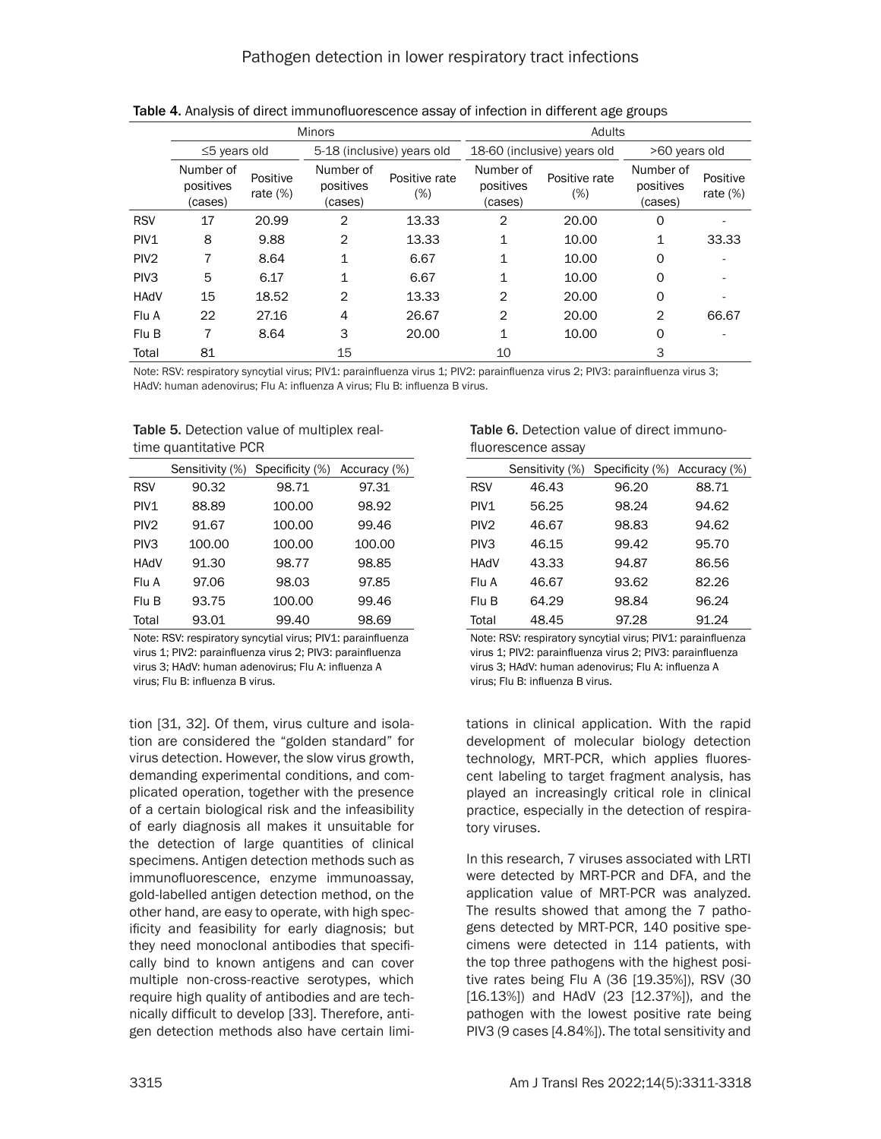|                  | <b>Minors</b>                     |                         |                                   |                      | Adults                            |                         |                                   |                         |
|------------------|-----------------------------------|-------------------------|-----------------------------------|----------------------|-----------------------------------|-------------------------|-----------------------------------|-------------------------|
|                  | $\leq$ 5 years old                |                         | 5-18 (inclusive) years old        |                      | 18-60 (inclusive) years old       |                         | >60 years old                     |                         |
|                  | Number of<br>positives<br>(cases) | Positive<br>rate $(\%)$ | Number of<br>positives<br>(cases) | Positive rate<br>(%) | Number of<br>positives<br>(cases) | Positive rate<br>$(\%)$ | Number of<br>positives<br>(cases) | Positive<br>rate $(\%)$ |
| <b>RSV</b>       | 17                                | 20.99                   | 2                                 | 13.33                | 2                                 | 20.00                   | O                                 |                         |
| PIV1             | 8                                 | 9.88                    | $\overline{2}$                    | 13.33                | 1                                 | 10.00                   | 1                                 | 33.33                   |
| PIV <sub>2</sub> | 7                                 | 8.64                    | $\mathbf{1}$                      | 6.67                 | 1                                 | 10.00                   | 0                                 |                         |
| PIV <sub>3</sub> | 5                                 | 6.17                    | $\mathbf{1}$                      | 6.67                 | 1                                 | 10.00                   | O                                 |                         |
| <b>HAdV</b>      | 15                                | 18.52                   | $\overline{2}$                    | 13.33                | $\mathbf{2}$                      | 20.00                   | O                                 |                         |
| Flu A            | 22                                | 27.16                   | 4                                 | 26.67                | $\mathbf{2}$                      | 20.00                   | 2                                 | 66.67                   |
| Flu B            | 7                                 | 8.64                    | 3                                 | 20.00                | 1                                 | 10.00                   | 0                                 |                         |
| Total            | 81                                |                         | 15                                |                      | 10                                |                         | 3                                 |                         |

Table 4. Analysis of direct immunofluorescence assay of infection in different age groups

Note: RSV: respiratory syncytial virus; PIV1: parainfluenza virus 1; PIV2: parainfluenza virus 2; PIV3: parainfluenza virus 3; HAdV: human adenovirus; Flu A: influenza A virus; Flu B: influenza B virus.

Table 5. Detection value of multiplex realtime quantitative PCR

|                  | Sensitivity (%) | Specificity (%) | Accuracy (%) |
|------------------|-----------------|-----------------|--------------|
| <b>RSV</b>       | 90.32           | 98.71           | 97.31        |
| PIV <sub>1</sub> | 88.89           | 100.00          | 98.92        |
| PIV <sub>2</sub> | 91.67           | 100.00          | 99.46        |
| PIV <sub>3</sub> | 100.00          | 100.00          | 100.00       |
| <b>HAdV</b>      | 91.30           | 98.77           | 98.85        |
| Flu A            | 97.06           | 98.03           | 97.85        |
| Flu B            | 93.75           | 100.00          | 99.46        |
| Total            | 93.01           | 99.40           | 98.69        |
|                  |                 |                 |              |

Note: RSV: respiratory syncytial virus; PIV1: parainfluenza virus 1; PIV2: parainfluenza virus 2; PIV3: parainfluenza virus 3; HAdV: human adenovirus; Flu A: influenza A virus; Flu B: influenza B virus.

tion [31, 32]. Of them, virus culture and isolation are considered the "golden standard" for virus detection. However, the slow virus growth, demanding experimental conditions, and complicated operation, together with the presence of a certain biological risk and the infeasibility of early diagnosis all makes it unsuitable for the detection of large quantities of clinical specimens. Antigen detection methods such as immunofluorescence, enzyme immunoassay, gold-labelled antigen detection method, on the other hand, are easy to operate, with high specificity and feasibility for early diagnosis; but they need monoclonal antibodies that specifically bind to known antigens and can cover multiple non-cross-reactive serotypes, which require high quality of antibodies and are technically difficult to develop [33]. Therefore, antigen detection methods also have certain limi-

| <b>Table 6.</b> Detection value of direct immuno- |
|---------------------------------------------------|
| fluorescence assay                                |

|                  | Sensitivity (%) | Specificity (%) | Accuracy (%) |
|------------------|-----------------|-----------------|--------------|
| <b>RSV</b>       | 46.43           | 96.20           | 88.71        |
| PIV <sub>1</sub> | 56.25           | 98.24           | 94.62        |
| PIV <sub>2</sub> | 46.67           | 98.83           | 94.62        |
| PIV <sub>3</sub> | 46.15           | 99.42           | 95.70        |
| <b>HAdV</b>      | 43.33           | 94.87           | 86.56        |
| Flu A            | 46.67           | 93.62           | 82.26        |
| Flu B            | 64.29           | 98.84           | 96.24        |
| Total            | 48.45           | 97.28           | 91.24        |

Note: RSV: respiratory syncytial virus; PIV1: parainfluenza virus 1; PIV2: parainfluenza virus 2; PIV3: parainfluenza virus 3; HAdV: human adenovirus; Flu A: influenza A virus; Flu B: influenza B virus.

tations in clinical application. With the rapid development of molecular biology detection technology, MRT-PCR, which applies fluorescent labeling to target fragment analysis, has played an increasingly critical role in clinical practice, especially in the detection of respiratory viruses.

In this research, 7 viruses associated with LRTI were detected by MRT-PCR and DFA, and the application value of MRT-PCR was analyzed. The results showed that among the 7 pathogens detected by MRT-PCR, 140 positive specimens were detected in 114 patients, with the top three pathogens with the highest positive rates being Flu A (36 [19.35%]), RSV (30 [16.13%]) and HAdV (23 [12.37%]), and the pathogen with the lowest positive rate being PIV3 (9 cases [4.84%]). The total sensitivity and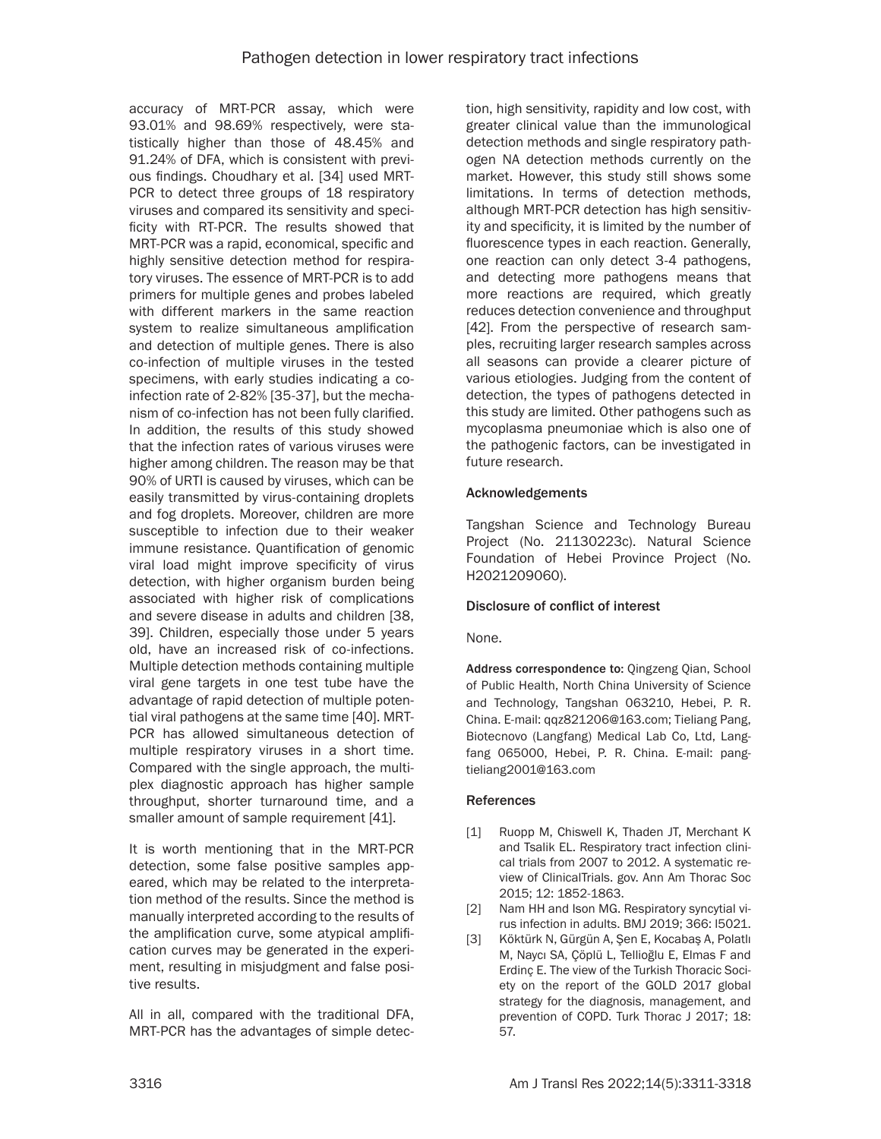accuracy of MRT-PCR assay, which were 93.01% and 98.69% respectively, were statistically higher than those of 48.45% and 91.24% of DFA, which is consistent with previous findings. Choudhary et al. [34] used MRT-PCR to detect three groups of 18 respiratory viruses and compared its sensitivity and specificity with RT-PCR. The results showed that MRT-PCR was a rapid, economical, specific and highly sensitive detection method for respiratory viruses. The essence of MRT-PCR is to add primers for multiple genes and probes labeled with different markers in the same reaction system to realize simultaneous amplification and detection of multiple genes. There is also co-infection of multiple viruses in the tested specimens, with early studies indicating a coinfection rate of 2-82% [35-37], but the mechanism of co-infection has not been fully clarified. In addition, the results of this study showed that the infection rates of various viruses were higher among children. The reason may be that 90% of URTI is caused by viruses, which can be easily transmitted by virus-containing droplets and fog droplets. Moreover, children are more susceptible to infection due to their weaker immune resistance. Quantification of genomic viral load might improve specificity of virus detection, with higher organism burden being associated with higher risk of complications and severe disease in adults and children [38, 39]. Children, especially those under 5 years old, have an increased risk of co-infections. Multiple detection methods containing multiple viral gene targets in one test tube have the advantage of rapid detection of multiple potential viral pathogens at the same time [40]. MRT-PCR has allowed simultaneous detection of multiple respiratory viruses in a short time. Compared with the single approach, the multiplex diagnostic approach has higher sample throughput, shorter turnaround time, and a smaller amount of sample requirement [41].

It is worth mentioning that in the MRT-PCR detection, some false positive samples appeared, which may be related to the interpretation method of the results. Since the method is manually interpreted according to the results of the amplification curve, some atypical amplification curves may be generated in the experiment, resulting in misjudgment and false positive results.

All in all, compared with the traditional DFA, MRT-PCR has the advantages of simple detection, high sensitivity, rapidity and low cost, with greater clinical value than the immunological detection methods and single respiratory pathogen NA detection methods currently on the market. However, this study still shows some limitations. In terms of detection methods, although MRT-PCR detection has high sensitivity and specificity, it is limited by the number of fluorescence types in each reaction. Generally, one reaction can only detect 3-4 pathogens, and detecting more pathogens means that more reactions are required, which greatly reduces detection convenience and throughput [42]. From the perspective of research samples, recruiting larger research samples across all seasons can provide a clearer picture of various etiologies. Judging from the content of detection, the types of pathogens detected in this study are limited. Other pathogens such as mycoplasma pneumoniae which is also one of the pathogenic factors, can be investigated in future research.

### Acknowledgements

Tangshan Science and Technology Bureau Project (No. 21130223c). Natural Science Foundation of Hebei Province Project (No. H2021209060).

## Disclosure of conflict of interest

None.

Address correspondence to: Qingzeng Qian, School of Public Health, North China University of Science and Technology, Tangshan 063210, Hebei, P. R. China. E-mail: qqz821206@163.com; Tieliang Pang, Biotecnovo (Langfang) Medical Lab Co, Ltd, Langfang 065000, Hebei, P. R. China. E-mail: [pang](mailto:pangtieliang2001@163.com)[tieliang2001@163.com](mailto:pangtieliang2001@163.com)

#### References

- [1] Ruopp M, Chiswell K, Thaden JT, Merchant K and Tsalik EL. Respiratory tract infection clinical trials from 2007 to 2012. A systematic review of ClinicalTrials. gov. Ann Am Thorac Soc 2015; 12: 1852-1863.
- [2] Nam HH and Ison MG. Respiratory syncytial virus infection in adults. BMJ 2019; 366: l5021.
- [3] Köktürk N, Gürgün A, Şen E, Kocabaş A, Polatlı M, Naycı SA, Çöplü L, Tellioğlu E, Elmas F and Erdinç E. The view of the Turkish Thoracic Society on the report of the GOLD 2017 global strategy for the diagnosis, management, and prevention of COPD. Turk Thorac J 2017; 18: 57.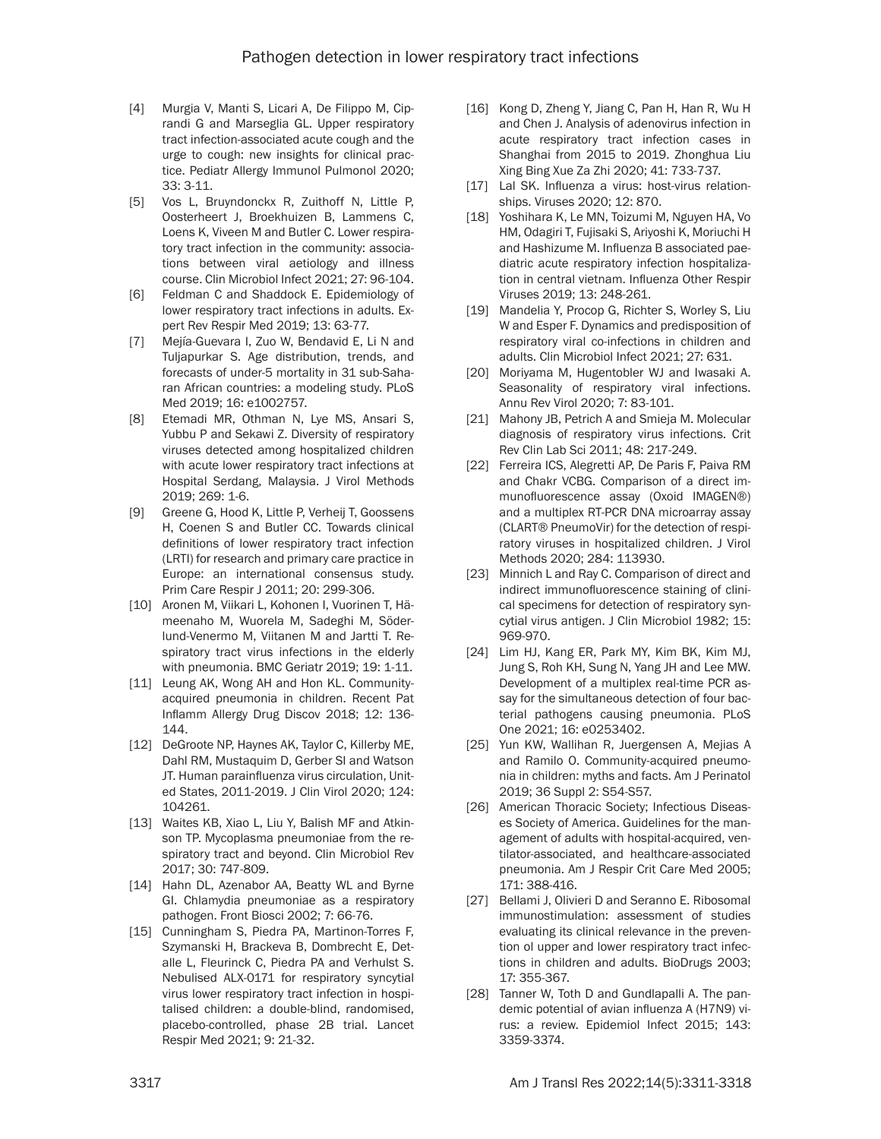- [4] Murgia V, Manti S, Licari A, De Filippo M, Ciprandi G and Marseglia GL. Upper respiratory tract infection-associated acute cough and the urge to cough: new insights for clinical practice. Pediatr Allergy Immunol Pulmonol 2020; 33: 3-11.
- [5] Vos L. Bruyndonckx R. Zuithoff N. Little P. Oosterheert J, Broekhuizen B, Lammens C, Loens K, Viveen M and Butler C. Lower respiratory tract infection in the community: associations between viral aetiology and illness course. Clin Microbiol Infect 2021; 27: 96-104.
- [6] Feldman C and Shaddock E. Epidemiology of lower respiratory tract infections in adults. Expert Rev Respir Med 2019; 13: 63-77.
- [7] Mejía-Guevara I, Zuo W, Bendavid E, Li N and Tuljapurkar S. Age distribution, trends, and forecasts of under-5 mortality in 31 sub-Saharan African countries: a modeling study. PLoS Med 2019; 16: e1002757.
- [8] Etemadi MR, Othman N, Lye MS, Ansari S, Yubbu P and Sekawi Z. Diversity of respiratory viruses detected among hospitalized children with acute lower respiratory tract infections at Hospital Serdang, Malaysia. J Virol Methods 2019; 269: 1-6.
- [9] Greene G, Hood K, Little P, Verheij T, Goossens H, Coenen S and Butler CC. Towards clinical definitions of lower respiratory tract infection (LRTI) for research and primary care practice in Europe: an international consensus study. Prim Care Respir J 2011; 20: 299-306.
- [10] Aronen M, Viikari L, Kohonen I, Vuorinen T, Hämeenaho M, Wuorela M, Sadeghi M, Söderlund-Venermo M, Viitanen M and Jartti T. Respiratory tract virus infections in the elderly with pneumonia. BMC Geriatr 2019; 19: 1-11.
- [11] Leung AK, Wong AH and Hon KL. Communityacquired pneumonia in children. Recent Pat Inflamm Allergy Drug Discov 2018; 12: 136- 144.
- [12] DeGroote NP, Haynes AK, Taylor C, Killerby ME, Dahl RM, Mustaquim D, Gerber SI and Watson JT. Human parainfluenza virus circulation, United States, 2011-2019. J Clin Virol 2020; 124: 104261.
- [13] Waites KB, Xiao L, Liu Y, Balish MF and Atkinson TP. Mycoplasma pneumoniae from the respiratory tract and beyond. Clin Microbiol Rev 2017; 30: 747-809.
- [14] Hahn DL, Azenabor AA, Beatty WL and Byrne GI. Chlamydia pneumoniae as a respiratory pathogen. Front Biosci 2002; 7: 66-76.
- [15] Cunningham S, Piedra PA, Martinon-Torres F, Szymanski H, Brackeva B, Dombrecht E, Detalle L, Fleurinck C, Piedra PA and Verhulst S. Nebulised ALX-0171 for respiratory syncytial virus lower respiratory tract infection in hospitalised children: a double-blind, randomised, placebo-controlled, phase 2B trial. Lancet Respir Med 2021; 9: 21-32.
- [16] Kong D, Zheng Y, Jiang C, Pan H, Han R, Wu H and Chen J. Analysis of adenovirus infection in acute respiratory tract infection cases in Shanghai from 2015 to 2019. Zhonghua Liu Xing Bing Xue Za Zhi 2020; 41: 733-737.
- [17] Lal SK. Influenza a virus: host-virus relationships. Viruses 2020; 12: 870.
- [18] Yoshihara K, Le MN, Toizumi M, Nguyen HA, Vo HM, Odagiri T, Fujisaki S, Ariyoshi K, Moriuchi H and Hashizume M. Influenza B associated paediatric acute respiratory infection hospitalization in central vietnam. Influenza Other Respir Viruses 2019; 13: 248-261.
- [19] Mandelia Y, Procop G, Richter S, Worley S, Liu W and Esper F. Dynamics and predisposition of respiratory viral co-infections in children and adults. Clin Microbiol Infect 2021; 27: 631.
- [20] Moriyama M, Hugentobler WJ and Iwasaki A. Seasonality of respiratory viral infections. Annu Rev Virol 2020; 7: 83-101.
- [21] Mahony JB, Petrich A and Smieja M. Molecular diagnosis of respiratory virus infections. Crit Rev Clin Lab Sci 2011; 48: 217-249.
- [22] Ferreira ICS, Alegretti AP, De Paris F, Paiva RM and Chakr VCBG. Comparison of a direct immunofluorescence assay (Oxoid IMAGEN®) and a multiplex RT-PCR DNA microarray assay (CLART® PneumoVir) for the detection of respiratory viruses in hospitalized children. J Virol Methods 2020; 284: 113930.
- [23] Minnich L and Ray C. Comparison of direct and indirect immunofluorescence staining of clinical specimens for detection of respiratory syncytial virus antigen. J Clin Microbiol 1982; 15: 969-970.
- [24] Lim HJ, Kang ER, Park MY, Kim BK, Kim MJ, Jung S, Roh KH, Sung N, Yang JH and Lee MW. Development of a multiplex real-time PCR assay for the simultaneous detection of four bacterial pathogens causing pneumonia. PLoS One 2021; 16: e0253402.
- [25] Yun KW, Wallihan R, Juergensen A, Mejias A and Ramilo O. Community-acquired pneumonia in children: myths and facts. Am J Perinatol 2019; 36 Suppl 2: S54-S57.
- [26] American Thoracic Society; Infectious Diseases Society of America. Guidelines for the management of adults with hospital-acquired, ventilator-associated, and healthcare-associated pneumonia. Am J Respir Crit Care Med 2005; 171: 388-416.
- [27] Bellami J, Olivieri D and Seranno E. Ribosomal immunostimulation: assessment of studies evaluating its clinical relevance in the prevention ol upper and lower respiratory tract infections in children and adults. BioDrugs 2003; 17: 355-367.
- [28] Tanner W, Toth D and Gundlapalli A. The pandemic potential of avian influenza A (H7N9) virus: a review. Epidemiol Infect 2015; 143: 3359-3374.